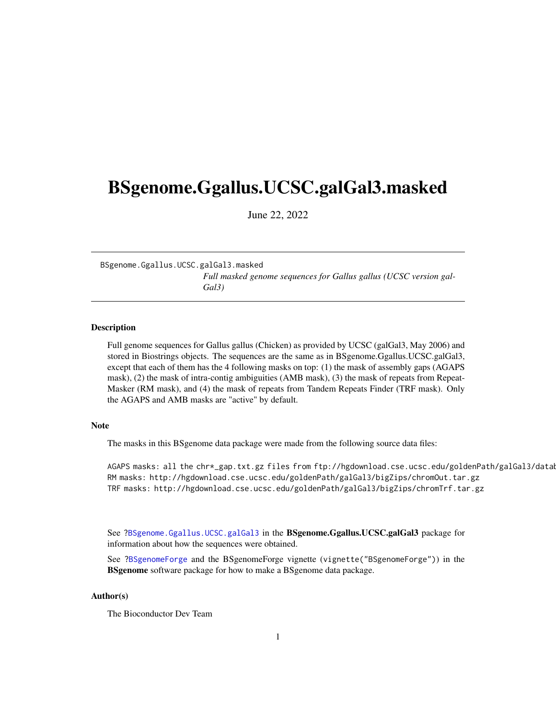## <span id="page-0-1"></span><span id="page-0-0"></span>BSgenome.Ggallus.UCSC.galGal3.masked

June 22, 2022

BSgenome.Ggallus.UCSC.galGal3.masked *Full masked genome sequences for Gallus gallus (UCSC version gal-Gal3)*

#### Description

Full genome sequences for Gallus gallus (Chicken) as provided by UCSC (galGal3, May 2006) and stored in Biostrings objects. The sequences are the same as in BSgenome.Ggallus.UCSC.galGal3, except that each of them has the 4 following masks on top: (1) the mask of assembly gaps (AGAPS mask), (2) the mask of intra-contig ambiguities (AMB mask), (3) the mask of repeats from Repeat-Masker (RM mask), and (4) the mask of repeats from Tandem Repeats Finder (TRF mask). Only the AGAPS and AMB masks are "active" by default.

### Note

The masks in this BSgenome data package were made from the following source data files:

AGAPS masks: all the chr\*\_gap.txt.gz files from ftp://hgdownload.cse.ucsc.edu/goldenPath/galGal3/datab RM masks: http://hgdownload.cse.ucsc.edu/goldenPath/galGal3/bigZips/chromOut.tar.gz TRF masks: http://hgdownload.cse.ucsc.edu/goldenPath/galGal3/bigZips/chromTrf.tar.gz

See ?BSgenome.Ggallus.UCSC.galGal3 in the **BSgenome.Ggallus.UCSC.galGal3** package for information about how the sequences were obtained.

See ?BSgenomeForge and the BSgenomeForge vignette (vignette("BSgenomeForge")) in the **BSgenome** software package for how to make a BSgenome data package.

### Author(s)

The Bioconductor Dev Team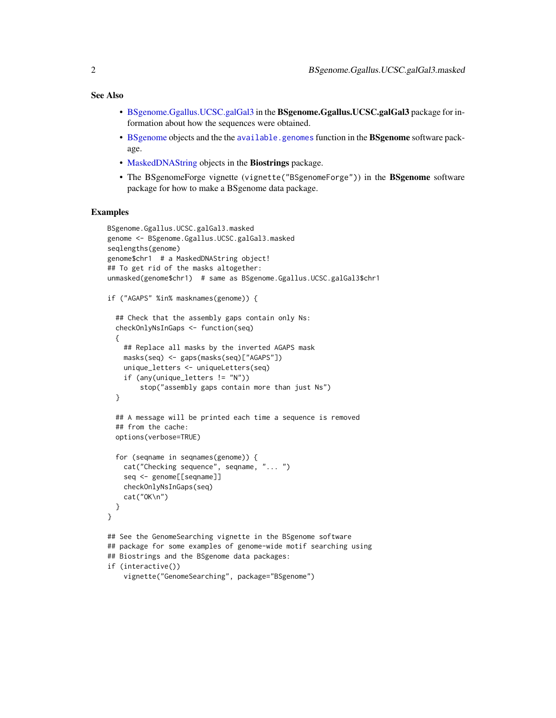### <span id="page-1-0"></span>See Also

- [BSgenome.Ggallus.UCSC.galGal3](#page-0-0) in the BSgenome.Ggallus.UCSC.galGal3 package for information about how the sequences were obtained.
- [BSgenome](#page-0-0) objects and the the [available.genomes](#page-0-0) function in the BSgenome software package.
- [MaskedDNAString](#page-0-0) objects in the Biostrings package.
- The BSgenomeForge vignette (vignette("BSgenomeForge")) in the BSgenome software package for how to make a BSgenome data package.

#### Examples

```
BSgenome.Ggallus.UCSC.galGal3.masked
genome <- BSgenome.Ggallus.UCSC.galGal3.masked
seqlengths(genome)
genome$chr1 # a MaskedDNAString object!
## To get rid of the masks altogether:
unmasked(genome$chr1) # same as BSgenome.Ggallus.UCSC.galGal3$chr1
if ("AGAPS" %in% masknames(genome)) {
 ## Check that the assembly gaps contain only Ns:
 checkOnlyNsInGaps <- function(seq)
 {
   ## Replace all masks by the inverted AGAPS mask
   masks(seq) <- gaps(masks(seq)["AGAPS"])
   unique_letters <- uniqueLetters(seq)
    if (any(unique_letters != "N"))
        stop("assembly gaps contain more than just Ns")
 }
 ## A message will be printed each time a sequence is removed
 ## from the cache:
 options(verbose=TRUE)
 for (seqname in seqnames(genome)) {
    cat("Checking sequence", seqname, "... ")
    seq <- genome[[seqname]]
   checkOnlyNsInGaps(seq)
    cat("OK\n")
 }
}
## See the GenomeSearching vignette in the BSgenome software
## package for some examples of genome-wide motif searching using
## Biostrings and the BSgenome data packages:
if (interactive())
    vignette("GenomeSearching", package="BSgenome")
```